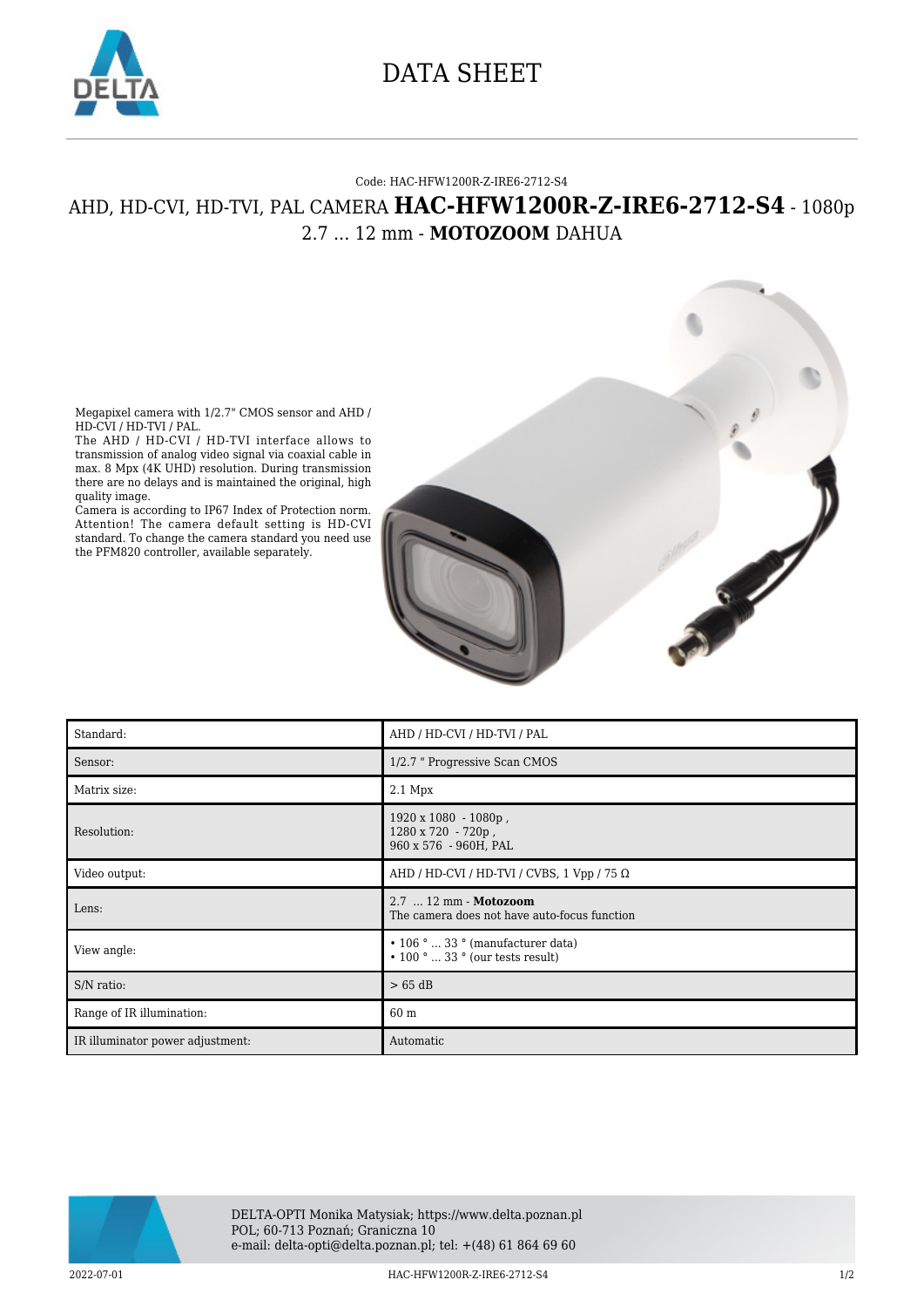

## DATA SHEET

## Code: HAC-HFW1200R-Z-IRE6-2712-S4

## AHD, HD-CVI, HD-TVI, PAL CAMERA **HAC-HFW1200R-Z-IRE6-2712-S4** - 1080p 2.7 ... 12 mm - **MOTOZOOM** DAHUA

Megapixel camera with 1/2.7" CMOS sensor and AHD / HD-CVI / HD-TVI / PAL.

The AHD / HD-CVI / HD-TVI interface allows to transmission of analog video signal via coaxial cable in max. 8 Mpx (4K UHD) resolution. During transmission there are no delays and is maintained the original, high quality image.

Camera is according to IP67 Index of Protection norm. Attention! The camera default setting is HD-CVI standard. To change the camera standard you need use the PFM820 controller, available separately.